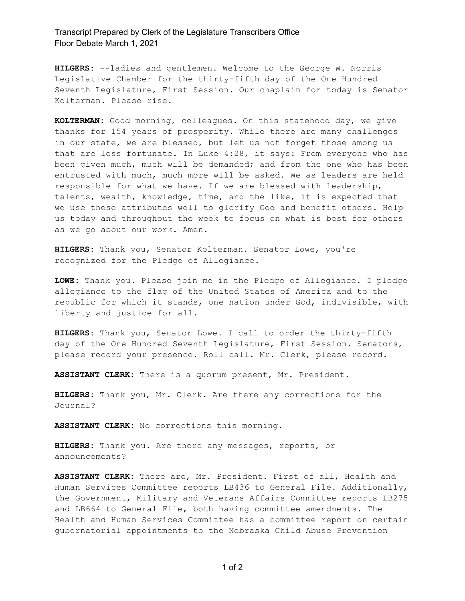## Transcript Prepared by Clerk of the Legislature Transcribers Office Floor Debate March 1, 2021

**HILGERS:** --ladies and gentlemen. Welcome to the George W. Norris Legislative Chamber for the thirty-fifth day of the One Hundred Seventh Legislature, First Session. Our chaplain for today is Senator Kolterman. Please rise.

**KOLTERMAN:** Good morning, colleagues. On this statehood day, we give thanks for 154 years of prosperity. While there are many challenges in our state, we are blessed, but let us not forget those among us that are less fortunate. In Luke 4:28, it says: From everyone who has been given much, much will be demanded; and from the one who has been entrusted with much, much more will be asked. We as leaders are held responsible for what we have. If we are blessed with leadership, talents, wealth, knowledge, time, and the like, it is expected that we use these attributes well to glorify God and benefit others. Help us today and throughout the week to focus on what is best for others as we go about our work. Amen.

**HILGERS:** Thank you, Senator Kolterman. Senator Lowe, you're recognized for the Pledge of Allegiance.

**LOWE:** Thank you. Please join me in the Pledge of Allegiance. I pledge allegiance to the flag of the United States of America and to the republic for which it stands, one nation under God, indivisible, with liberty and justice for all.

**HILGERS:** Thank you, Senator Lowe. I call to order the thirty-fifth day of the One Hundred Seventh Legislature, First Session. Senators, please record your presence. Roll call. Mr. Clerk, please record.

**ASSISTANT CLERK:** There is a quorum present, Mr. President.

**HILGERS:** Thank you, Mr. Clerk. Are there any corrections for the Journal?

**ASSISTANT CLERK:** No corrections this morning.

**HILGERS:** Thank you. Are there any messages, reports, or announcements?

**ASSISTANT CLERK:** There are, Mr. President. First of all, Health and Human Services Committee reports LB436 to General File. Additionally, the Government, Military and Veterans Affairs Committee reports LB275 and LB664 to General File, both having committee amendments. The Health and Human Services Committee has a committee report on certain gubernatorial appointments to the Nebraska Child Abuse Prevention